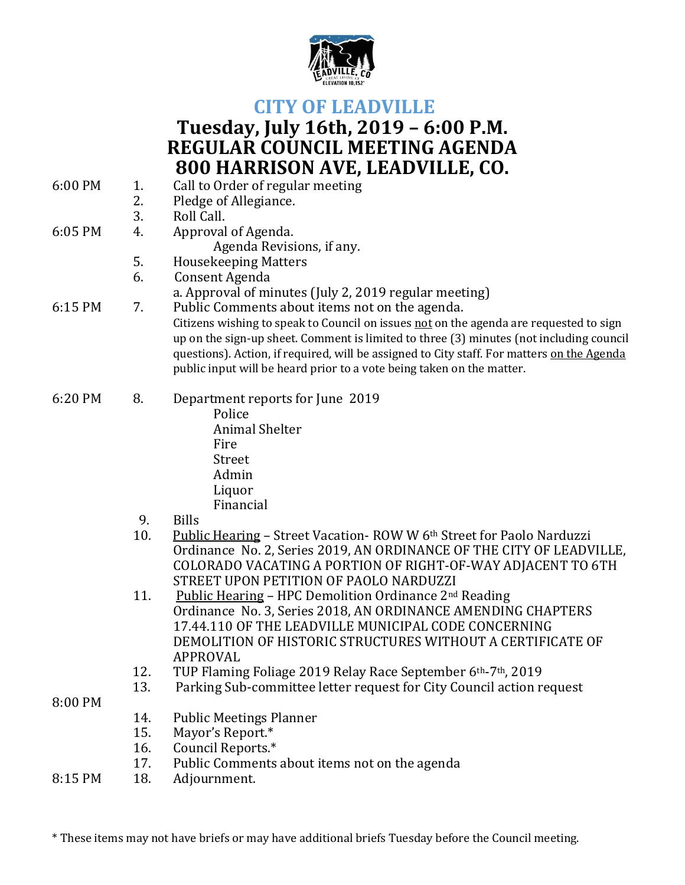

## **CITY OF LEADVILLE**

## **Tuesday, July 16th, 2019 – 6:00 P.M. REGULAR COUNCIL MEETING AGENDA 800 HARRISON AVE, LEADVILLE, CO.**

| 6:00 PM | 1.         | Call to Order of regular meeting                                                           |
|---------|------------|--------------------------------------------------------------------------------------------|
|         | 2.         | Pledge of Allegiance.                                                                      |
|         | 3.         | Roll Call.                                                                                 |
| 6:05 PM | 4.         | Approval of Agenda.                                                                        |
|         |            | Agenda Revisions, if any.                                                                  |
|         | 5.         | <b>Housekeeping Matters</b>                                                                |
|         | 6.         | Consent Agenda                                                                             |
|         |            | a. Approval of minutes (July 2, 2019 regular meeting)                                      |
| 6:15 PM | 7.         | Public Comments about items not on the agenda.                                             |
|         |            | Citizens wishing to speak to Council on issues not on the agenda are requested to sign     |
|         |            | up on the sign-up sheet. Comment is limited to three (3) minutes (not including council    |
|         |            | questions). Action, if required, will be assigned to City staff. For matters on the Agenda |
|         |            | public input will be heard prior to a vote being taken on the matter.                      |
| 6:20 PM | 8.         | Department reports for June 2019                                                           |
|         |            | Police                                                                                     |
|         |            | <b>Animal Shelter</b>                                                                      |
|         |            | Fire                                                                                       |
|         |            | <b>Street</b>                                                                              |
|         |            | Admin                                                                                      |
|         |            | Liquor                                                                                     |
|         |            | Financial                                                                                  |
|         | 9.         | <b>Bills</b>                                                                               |
|         | 10.        | Public Hearing - Street Vacation-ROW W 6th Street for Paolo Narduzzi                       |
|         |            | Ordinance No. 2, Series 2019, AN ORDINANCE OF THE CITY OF LEADVILLE,                       |
|         |            | COLORADO VACATING A PORTION OF RIGHT-OF-WAY ADJACENT TO 6TH                                |
|         |            | STREET UPON PETITION OF PAOLO NARDUZZI                                                     |
|         | 11.        | <b>Public Hearing - HPC Demolition Ordinance 2nd Reading</b>                               |
|         |            | Ordinance No. 3, Series 2018, AN ORDINANCE AMENDING CHAPTERS                               |
|         |            | 17.44.110 OF THE LEADVILLE MUNICIPAL CODE CONCERNING                                       |
|         |            | DEMOLITION OF HISTORIC STRUCTURES WITHOUT A CERTIFICATE OF                                 |
|         |            | <b>APPROVAL</b>                                                                            |
|         | 12.        | TUP Flaming Foliage 2019 Relay Race September 6th-7th, 2019                                |
|         | 13.        | Parking Sub-committee letter request for City Council action request                       |
| 8:00 PM |            |                                                                                            |
|         | 14.        | <b>Public Meetings Planner</b>                                                             |
|         | 15.        | Mayor's Report.*                                                                           |
|         | 16.<br>17. | Council Reports.*                                                                          |
|         |            | Public Comments about items not on the agenda                                              |
| 8:15 PM | 18.        | Adjournment.                                                                               |

\* These items may not have briefs or may have additional briefs Tuesday before the Council meeting.